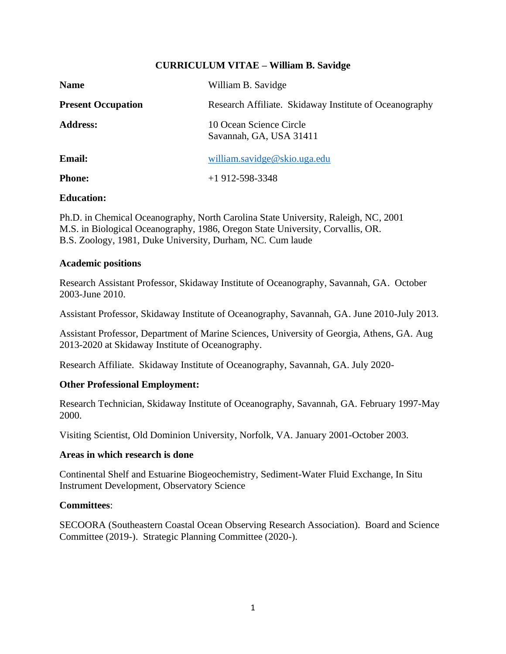# **CURRICULUM VITAE – William B. Savidge**

| <b>Name</b>               | William B. Savidge                                     |
|---------------------------|--------------------------------------------------------|
| <b>Present Occupation</b> | Research Affiliate. Skidaway Institute of Oceanography |
| <b>Address:</b>           | 10 Ocean Science Circle<br>Savannah, GA, USA 31411     |
| <b>Email:</b>             | william.savidge@skio.uga.edu                           |
| <b>Phone:</b>             | $+1912 - 598 - 3348$                                   |

## **Education:**

Ph.D. in Chemical Oceanography, North Carolina State University, Raleigh, NC, 2001 M.S. in Biological Oceanography, 1986, Oregon State University, Corvallis, OR. B.S. Zoology, 1981, Duke University, Durham, NC. Cum laude

#### **Academic positions**

Research Assistant Professor, Skidaway Institute of Oceanography, Savannah, GA. October 2003-June 2010.

Assistant Professor, Skidaway Institute of Oceanography, Savannah, GA. June 2010-July 2013.

Assistant Professor, Department of Marine Sciences, University of Georgia, Athens, GA. Aug 2013-2020 at Skidaway Institute of Oceanography.

Research Affiliate. Skidaway Institute of Oceanography, Savannah, GA. July 2020-

### **Other Professional Employment:**

Research Technician, Skidaway Institute of Oceanography, Savannah, GA. February 1997-May 2000.

Visiting Scientist, Old Dominion University, Norfolk, VA. January 2001-October 2003.

## **Areas in which research is done**

Continental Shelf and Estuarine Biogeochemistry, Sediment-Water Fluid Exchange, In Situ Instrument Development, Observatory Science

### **Committees**:

SECOORA (Southeastern Coastal Ocean Observing Research Association). Board and Science Committee (2019-). Strategic Planning Committee (2020-).